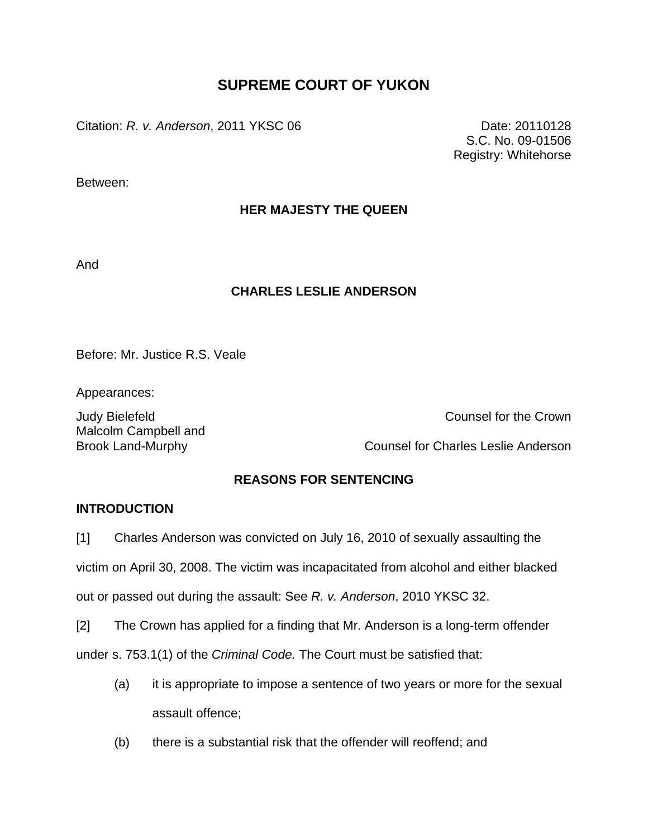# **SUPREME COURT OF YUKON**

Citation: *R. v. Anderson*, 2011 YKSC 06 Date: 20110128

S.C. No. 09-01506 Registry: Whitehorse

Between:

# **HER MAJESTY THE QUEEN**

And

# **CHARLES LESLIE ANDERSON**

Before: Mr. Justice R.S. Veale

Appearances:

Malcolm Campbell and

Judy Bielefeld Counsel for the Crown

Brook Land-Murphy Counsel for Charles Leslie Anderson

# **REASONS FOR SENTENCING**

# **INTRODUCTION**

[1] Charles Anderson was convicted on July 16, 2010 of sexually assaulting the

victim on April 30, 2008. The victim was incapacitated from alcohol and either blacked

out or passed out during the assault: See *R. v. Anderson*, 2010 YKSC 32.

[2] The Crown has applied for a finding that Mr. Anderson is a long-term offender

under s. 753.1(1) of the *Criminal Code.* The Court must be satisfied that:

- (a) it is appropriate to impose a sentence of two years or more for the sexual assault offence;
- (b) there is a substantial risk that the offender will reoffend; and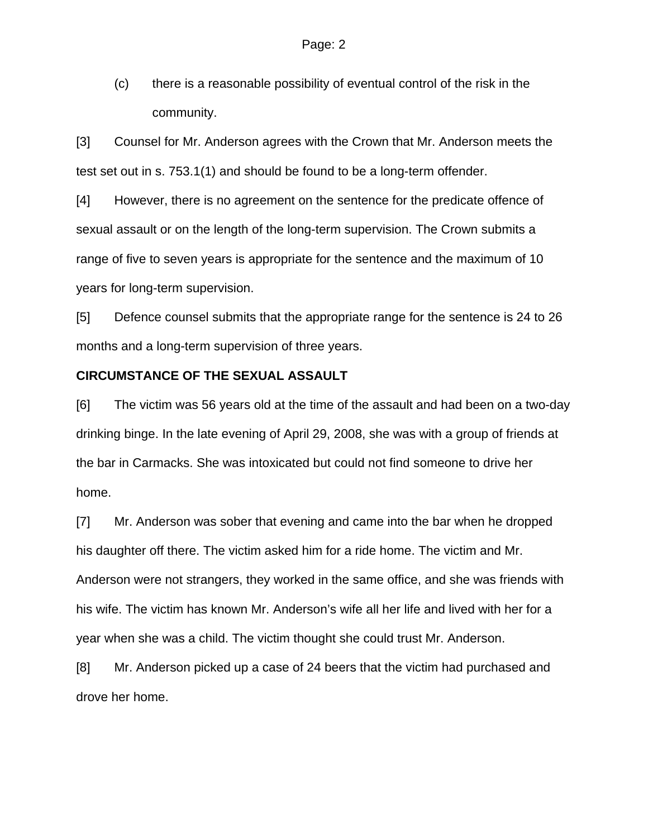(c) there is a reasonable possibility of eventual control of the risk in the community.

[3] Counsel for Mr. Anderson agrees with the Crown that Mr. Anderson meets the test set out in s. 753.1(1) and should be found to be a long-term offender.

[4] However, there is no agreement on the sentence for the predicate offence of sexual assault or on the length of the long-term supervision. The Crown submits a range of five to seven years is appropriate for the sentence and the maximum of 10 years for long-term supervision.

[5] Defence counsel submits that the appropriate range for the sentence is 24 to 26 months and a long-term supervision of three years.

#### **CIRCUMSTANCE OF THE SEXUAL ASSAULT**

[6] The victim was 56 years old at the time of the assault and had been on a two-day drinking binge. In the late evening of April 29, 2008, she was with a group of friends at the bar in Carmacks. She was intoxicated but could not find someone to drive her home.

[7] Mr. Anderson was sober that evening and came into the bar when he dropped his daughter off there. The victim asked him for a ride home. The victim and Mr. Anderson were not strangers, they worked in the same office, and she was friends with his wife. The victim has known Mr. Anderson's wife all her life and lived with her for a year when she was a child. The victim thought she could trust Mr. Anderson.

[8] Mr. Anderson picked up a case of 24 beers that the victim had purchased and drove her home.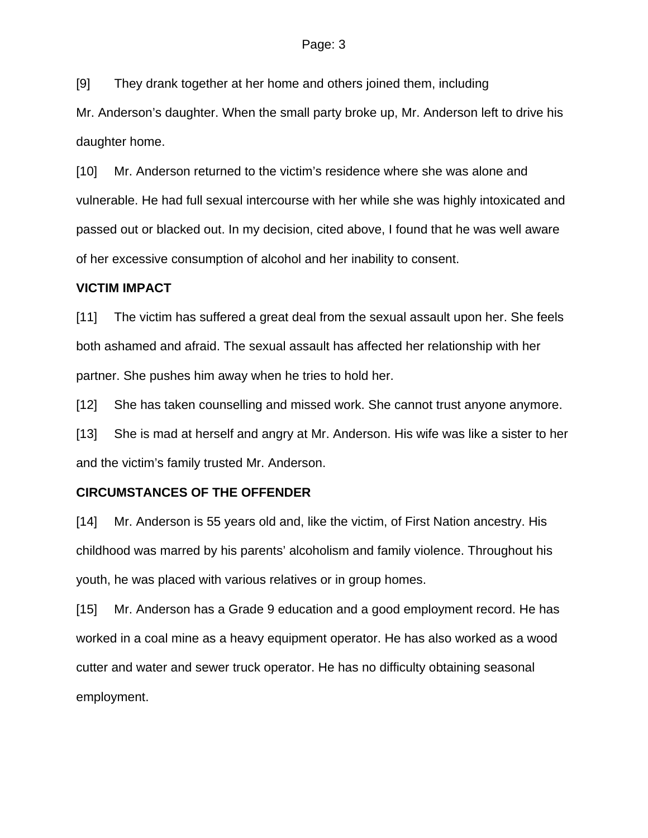[9] They drank together at her home and others joined them, including

Mr. Anderson's daughter. When the small party broke up, Mr. Anderson left to drive his daughter home.

[10] Mr. Anderson returned to the victim's residence where she was alone and vulnerable. He had full sexual intercourse with her while she was highly intoxicated and passed out or blacked out. In my decision, cited above, I found that he was well aware of her excessive consumption of alcohol and her inability to consent.

### **VICTIM IMPACT**

[11] The victim has suffered a great deal from the sexual assault upon her. She feels both ashamed and afraid. The sexual assault has affected her relationship with her partner. She pushes him away when he tries to hold her.

[12] She has taken counselling and missed work. She cannot trust anyone anymore.

[13] She is mad at herself and angry at Mr. Anderson. His wife was like a sister to her and the victim's family trusted Mr. Anderson.

# **CIRCUMSTANCES OF THE OFFENDER**

[14] Mr. Anderson is 55 years old and, like the victim, of First Nation ancestry. His childhood was marred by his parents' alcoholism and family violence. Throughout his youth, he was placed with various relatives or in group homes.

[15] Mr. Anderson has a Grade 9 education and a good employment record. He has worked in a coal mine as a heavy equipment operator. He has also worked as a wood cutter and water and sewer truck operator. He has no difficulty obtaining seasonal employment.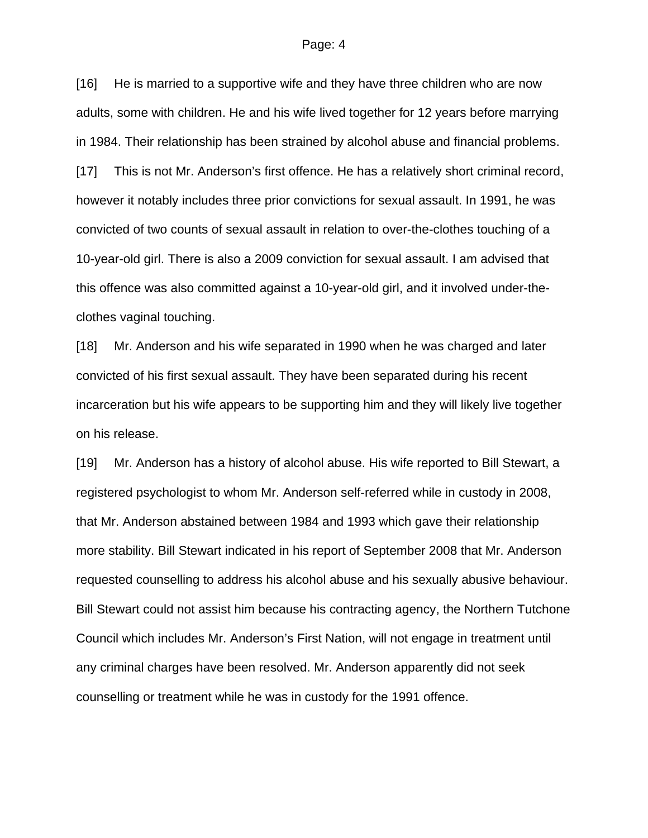#### Page: 4

[16] He is married to a supportive wife and they have three children who are now adults, some with children. He and his wife lived together for 12 years before marrying in 1984. Their relationship has been strained by alcohol abuse and financial problems. [17] This is not Mr. Anderson's first offence. He has a relatively short criminal record, however it notably includes three prior convictions for sexual assault. In 1991, he was convicted of two counts of sexual assault in relation to over-the-clothes touching of a 10-year-old girl. There is also a 2009 conviction for sexual assault. I am advised that this offence was also committed against a 10-year-old girl, and it involved under-theclothes vaginal touching.

[18] Mr. Anderson and his wife separated in 1990 when he was charged and later convicted of his first sexual assault. They have been separated during his recent incarceration but his wife appears to be supporting him and they will likely live together on his release.

[19] Mr. Anderson has a history of alcohol abuse. His wife reported to Bill Stewart, a registered psychologist to whom Mr. Anderson self-referred while in custody in 2008, that Mr. Anderson abstained between 1984 and 1993 which gave their relationship more stability. Bill Stewart indicated in his report of September 2008 that Mr. Anderson requested counselling to address his alcohol abuse and his sexually abusive behaviour. Bill Stewart could not assist him because his contracting agency, the Northern Tutchone Council which includes Mr. Anderson's First Nation, will not engage in treatment until any criminal charges have been resolved. Mr. Anderson apparently did not seek counselling or treatment while he was in custody for the 1991 offence.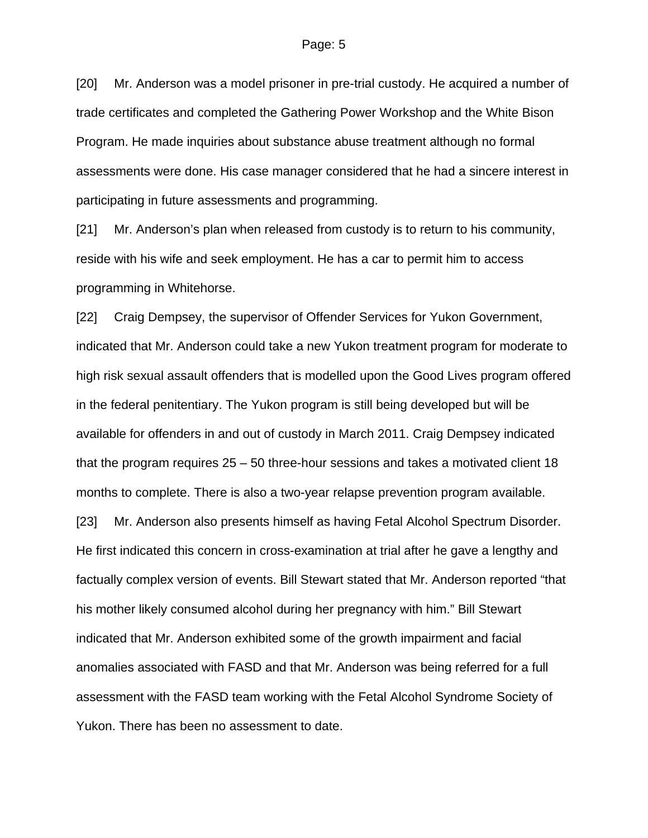[20] Mr. Anderson was a model prisoner in pre-trial custody. He acquired a number of trade certificates and completed the Gathering Power Workshop and the White Bison Program. He made inquiries about substance abuse treatment although no formal assessments were done. His case manager considered that he had a sincere interest in participating in future assessments and programming.

[21] Mr. Anderson's plan when released from custody is to return to his community, reside with his wife and seek employment. He has a car to permit him to access programming in Whitehorse.

[22] Craig Dempsey, the supervisor of Offender Services for Yukon Government, indicated that Mr. Anderson could take a new Yukon treatment program for moderate to high risk sexual assault offenders that is modelled upon the Good Lives program offered in the federal penitentiary. The Yukon program is still being developed but will be available for offenders in and out of custody in March 2011. Craig Dempsey indicated that the program requires 25 – 50 three-hour sessions and takes a motivated client 18 months to complete. There is also a two-year relapse prevention program available. [23] Mr. Anderson also presents himself as having Fetal Alcohol Spectrum Disorder. He first indicated this concern in cross-examination at trial after he gave a lengthy and factually complex version of events. Bill Stewart stated that Mr. Anderson reported "that

his mother likely consumed alcohol during her pregnancy with him." Bill Stewart indicated that Mr. Anderson exhibited some of the growth impairment and facial anomalies associated with FASD and that Mr. Anderson was being referred for a full assessment with the FASD team working with the Fetal Alcohol Syndrome Society of Yukon. There has been no assessment to date.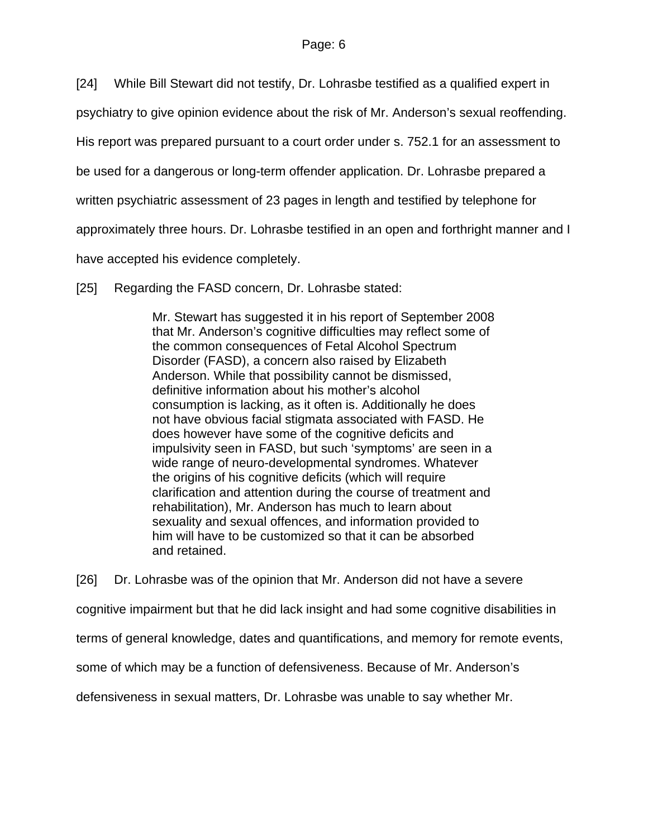[24] While Bill Stewart did not testify, Dr. Lohrasbe testified as a qualified expert in

psychiatry to give opinion evidence about the risk of Mr. Anderson's sexual reoffending.

His report was prepared pursuant to a court order under s. 752.1 for an assessment to

be used for a dangerous or long-term offender application. Dr. Lohrasbe prepared a

written psychiatric assessment of 23 pages in length and testified by telephone for

approximately three hours. Dr. Lohrasbe testified in an open and forthright manner and I

have accepted his evidence completely.

[25] Regarding the FASD concern, Dr. Lohrasbe stated:

Mr. Stewart has suggested it in his report of September 2008 that Mr. Anderson's cognitive difficulties may reflect some of the common consequences of Fetal Alcohol Spectrum Disorder (FASD), a concern also raised by Elizabeth Anderson. While that possibility cannot be dismissed, definitive information about his mother's alcohol consumption is lacking, as it often is. Additionally he does not have obvious facial stigmata associated with FASD. He does however have some of the cognitive deficits and impulsivity seen in FASD, but such 'symptoms' are seen in a wide range of neuro-developmental syndromes. Whatever the origins of his cognitive deficits (which will require clarification and attention during the course of treatment and rehabilitation), Mr. Anderson has much to learn about sexuality and sexual offences, and information provided to him will have to be customized so that it can be absorbed and retained.

[26] Dr. Lohrasbe was of the opinion that Mr. Anderson did not have a severe cognitive impairment but that he did lack insight and had some cognitive disabilities in terms of general knowledge, dates and quantifications, and memory for remote events, some of which may be a function of defensiveness. Because of Mr. Anderson's defensiveness in sexual matters, Dr. Lohrasbe was unable to say whether Mr.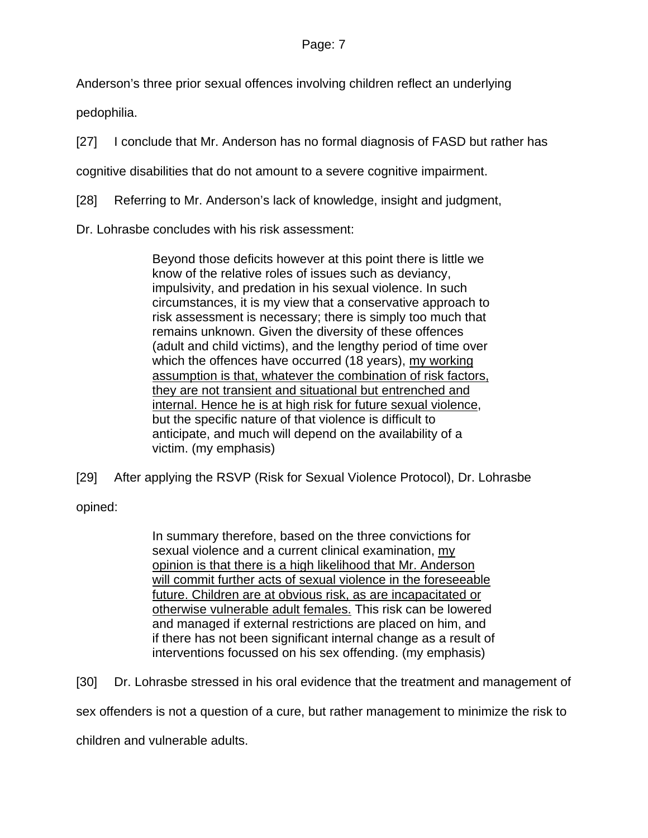### Page: 7

Anderson's three prior sexual offences involving children reflect an underlying

pedophilia.

[27] I conclude that Mr. Anderson has no formal diagnosis of FASD but rather has

cognitive disabilities that do not amount to a severe cognitive impairment.

[28] Referring to Mr. Anderson's lack of knowledge, insight and judgment,

Dr. Lohrasbe concludes with his risk assessment:

Beyond those deficits however at this point there is little we know of the relative roles of issues such as deviancy, impulsivity, and predation in his sexual violence. In such circumstances, it is my view that a conservative approach to risk assessment is necessary; there is simply too much that remains unknown. Given the diversity of these offences (adult and child victims), and the lengthy period of time over which the offences have occurred (18 years), my working assumption is that, whatever the combination of risk factors, they are not transient and situational but entrenched and internal. Hence he is at high risk for future sexual violence, but the specific nature of that violence is difficult to anticipate, and much will depend on the availability of a victim. (my emphasis)

[29] After applying the RSVP (Risk for Sexual Violence Protocol), Dr. Lohrasbe

opined:

In summary therefore, based on the three convictions for sexual violence and a current clinical examination, my opinion is that there is a high likelihood that Mr. Anderson will commit further acts of sexual violence in the foreseeable future. Children are at obvious risk, as are incapacitated or otherwise vulnerable adult females. This risk can be lowered and managed if external restrictions are placed on him, and if there has not been significant internal change as a result of interventions focussed on his sex offending. (my emphasis)

[30] Dr. Lohrasbe stressed in his oral evidence that the treatment and management of

sex offenders is not a question of a cure, but rather management to minimize the risk to

children and vulnerable adults.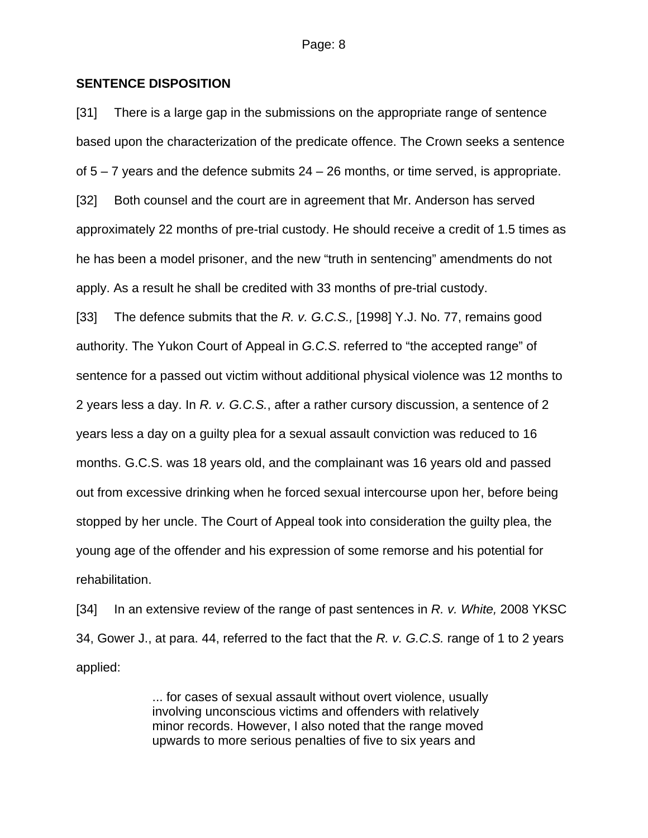#### **SENTENCE DISPOSITION**

[31] There is a large gap in the submissions on the appropriate range of sentence based upon the characterization of the predicate offence. The Crown seeks a sentence of  $5 - 7$  years and the defence submits  $24 - 26$  months, or time served, is appropriate. [32] Both counsel and the court are in agreement that Mr. Anderson has served approximately 22 months of pre-trial custody. He should receive a credit of 1.5 times as he has been a model prisoner, and the new "truth in sentencing" amendments do not apply. As a result he shall be credited with 33 months of pre-trial custody.

[33] The defence submits that the *R. v. G.C.S.,* [1998] Y.J. No. 77, remains good authority. The Yukon Court of Appeal in *G.C.S*. referred to "the accepted range" of sentence for a passed out victim without additional physical violence was 12 months to 2 years less a day. In *R. v. G.C.S.*, after a rather cursory discussion, a sentence of 2 years less a day on a guilty plea for a sexual assault conviction was reduced to 16 months. G.C.S. was 18 years old, and the complainant was 16 years old and passed out from excessive drinking when he forced sexual intercourse upon her, before being stopped by her uncle. The Court of Appeal took into consideration the guilty plea, the young age of the offender and his expression of some remorse and his potential for rehabilitation.

[34] In an extensive review of the range of past sentences in *R. v. White,* 2008 YKSC 34, Gower J., at para. 44, referred to the fact that the *R. v. G.C.S.* range of 1 to 2 years applied:

> ... for cases of sexual assault without overt violence, usually involving unconscious victims and offenders with relatively minor records. However, I also noted that the range moved upwards to more serious penalties of five to six years and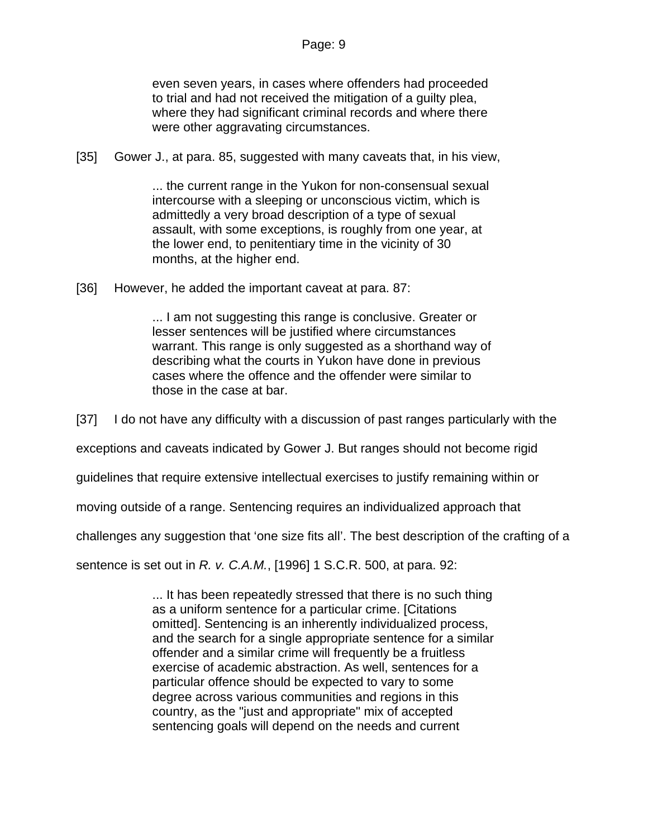even seven years, in cases where offenders had proceeded to trial and had not received the mitigation of a guilty plea, where they had significant criminal records and where there were other aggravating circumstances.

[35] Gower J., at para. 85, suggested with many caveats that, in his view,

... the current range in the Yukon for non-consensual sexual intercourse with a sleeping or unconscious victim, which is admittedly a very broad description of a type of sexual assault, with some exceptions, is roughly from one year, at the lower end, to penitentiary time in the vicinity of 30 months, at the higher end.

[36] However, he added the important caveat at para. 87:

... I am not suggesting this range is conclusive. Greater or lesser sentences will be justified where circumstances warrant. This range is only suggested as a shorthand way of describing what the courts in Yukon have done in previous cases where the offence and the offender were similar to those in the case at bar.

[37] I do not have any difficulty with a discussion of past ranges particularly with the

exceptions and caveats indicated by Gower J. But ranges should not become rigid

guidelines that require extensive intellectual exercises to justify remaining within or

moving outside of a range. Sentencing requires an individualized approach that

challenges any suggestion that 'one size fits all'. The best description of the crafting of a

sentence is set out in *R. v. C.A.M.*, [1996] 1 S.C.R. 500, at para. 92:

... It has been repeatedly stressed that there is no such thing as a uniform sentence for a particular crime. [Citations omitted]. Sentencing is an inherently individualized process, and the search for a single appropriate sentence for a similar offender and a similar crime will frequently be a fruitless exercise of academic abstraction. As well, sentences for a particular offence should be expected to vary to some degree across various communities and regions in this country, as the "just and appropriate" mix of accepted sentencing goals will depend on the needs and current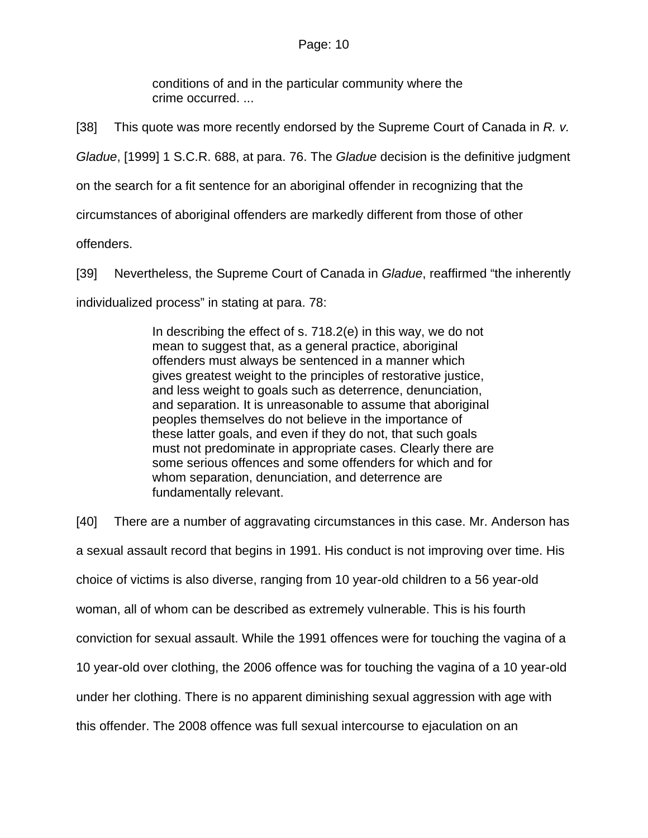#### Page: 10

conditions of and in the particular community where the crime occurred. ...

[38] This quote was more recently endorsed by the Supreme Court of Canada in *R. v.* 

*Gladue*, [1999] 1 S.C.R. 688, at para. 76. The *Gladue* decision is the definitive judgment

on the search for a fit sentence for an aboriginal offender in recognizing that the

circumstances of aboriginal offenders are markedly different from those of other

offenders.

[39] Nevertheless, the Supreme Court of Canada in *Gladue*, reaffirmed "the inherently

individualized process" in stating at para. 78:

In describing the effect of s. 718.2(e) in this way, we do not mean to suggest that, as a general practice, aboriginal offenders must always be sentenced in a manner which gives greatest weight to the principles of restorative justice, and less weight to goals such as deterrence, denunciation, and separation. It is unreasonable to assume that aboriginal peoples themselves do not believe in the importance of these latter goals, and even if they do not, that such goals must not predominate in appropriate cases. Clearly there are some serious offences and some offenders for which and for whom separation, denunciation, and deterrence are fundamentally relevant.

[40] There are a number of aggravating circumstances in this case. Mr. Anderson has a sexual assault record that begins in 1991. His conduct is not improving over time. His choice of victims is also diverse, ranging from 10 year-old children to a 56 year-old woman, all of whom can be described as extremely vulnerable. This is his fourth conviction for sexual assault. While the 1991 offences were for touching the vagina of a 10 year-old over clothing, the 2006 offence was for touching the vagina of a 10 year-old under her clothing. There is no apparent diminishing sexual aggression with age with this offender. The 2008 offence was full sexual intercourse to ejaculation on an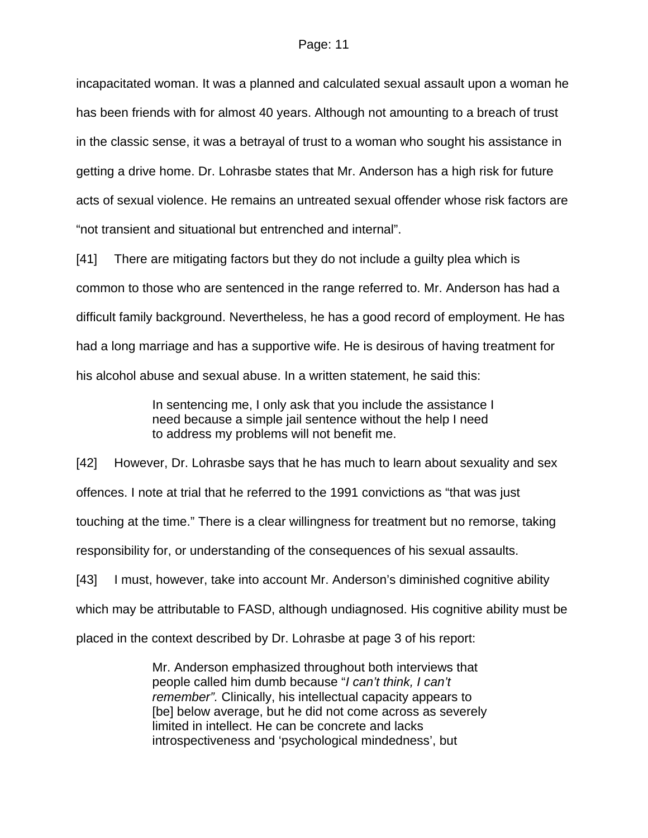incapacitated woman. It was a planned and calculated sexual assault upon a woman he has been friends with for almost 40 years. Although not amounting to a breach of trust in the classic sense, it was a betrayal of trust to a woman who sought his assistance in getting a drive home. Dr. Lohrasbe states that Mr. Anderson has a high risk for future acts of sexual violence. He remains an untreated sexual offender whose risk factors are "not transient and situational but entrenched and internal".

[41] There are mitigating factors but they do not include a guilty plea which is common to those who are sentenced in the range referred to. Mr. Anderson has had a difficult family background. Nevertheless, he has a good record of employment. He has had a long marriage and has a supportive wife. He is desirous of having treatment for his alcohol abuse and sexual abuse. In a written statement, he said this:

> In sentencing me, I only ask that you include the assistance I need because a simple jail sentence without the help I need to address my problems will not benefit me.

[42] However, Dr. Lohrasbe says that he has much to learn about sexuality and sex offences. I note at trial that he referred to the 1991 convictions as "that was just touching at the time." There is a clear willingness for treatment but no remorse, taking responsibility for, or understanding of the consequences of his sexual assaults. [43] I must, however, take into account Mr. Anderson's diminished cognitive ability which may be attributable to FASD, although undiagnosed. His cognitive ability must be

placed in the context described by Dr. Lohrasbe at page 3 of his report:

Mr. Anderson emphasized throughout both interviews that people called him dumb because "*I can't think, I can't remember".* Clinically, his intellectual capacity appears to [be] below average, but he did not come across as severely limited in intellect. He can be concrete and lacks introspectiveness and 'psychological mindedness', but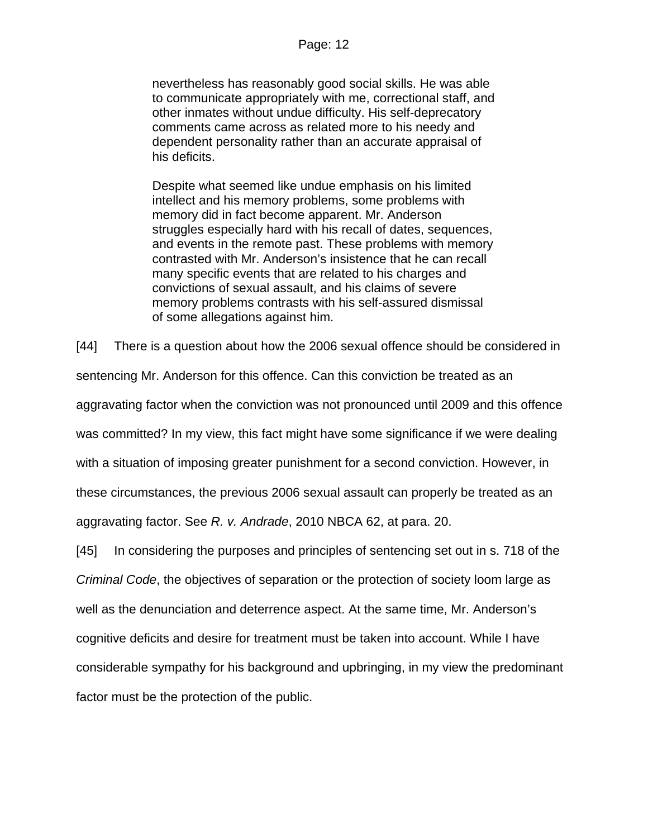nevertheless has reasonably good social skills. He was able to communicate appropriately with me, correctional staff, and other inmates without undue difficulty. His self-deprecatory comments came across as related more to his needy and dependent personality rather than an accurate appraisal of his deficits.

Despite what seemed like undue emphasis on his limited intellect and his memory problems, some problems with memory did in fact become apparent. Mr. Anderson struggles especially hard with his recall of dates, sequences, and events in the remote past. These problems with memory contrasted with Mr. Anderson's insistence that he can recall many specific events that are related to his charges and convictions of sexual assault, and his claims of severe memory problems contrasts with his self-assured dismissal of some allegations against him.

[44] There is a question about how the 2006 sexual offence should be considered in

sentencing Mr. Anderson for this offence. Can this conviction be treated as an

aggravating factor when the conviction was not pronounced until 2009 and this offence

was committed? In my view, this fact might have some significance if we were dealing

with a situation of imposing greater punishment for a second conviction. However, in

these circumstances, the previous 2006 sexual assault can properly be treated as an

aggravating factor. See *R. v. Andrade*, 2010 NBCA 62, at para. 20.

[45] In considering the purposes and principles of sentencing set out in s. 718 of the *Criminal Code*, the objectives of separation or the protection of society loom large as well as the denunciation and deterrence aspect. At the same time, Mr. Anderson's cognitive deficits and desire for treatment must be taken into account. While I have considerable sympathy for his background and upbringing, in my view the predominant factor must be the protection of the public.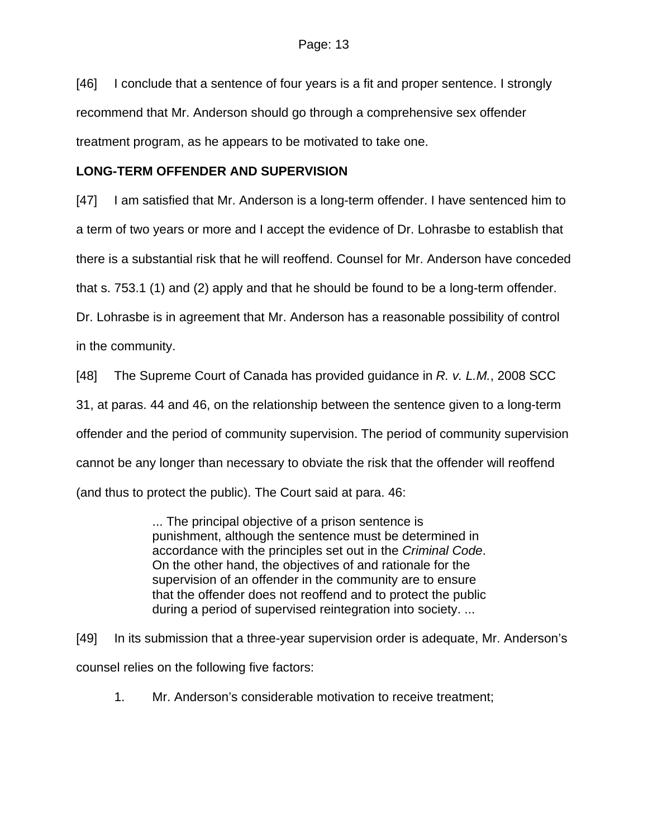[46] I conclude that a sentence of four years is a fit and proper sentence. I strongly recommend that Mr. Anderson should go through a comprehensive sex offender treatment program, as he appears to be motivated to take one.

# **LONG-TERM OFFENDER AND SUPERVISION**

[47] I am satisfied that Mr. Anderson is a long-term offender. I have sentenced him to a term of two years or more and I accept the evidence of Dr. Lohrasbe to establish that there is a substantial risk that he will reoffend. Counsel for Mr. Anderson have conceded that s. 753.1 (1) and (2) apply and that he should be found to be a long-term offender. Dr. Lohrasbe is in agreement that Mr. Anderson has a reasonable possibility of control

in the community.

[48] The Supreme Court of Canada has provided guidance in *R. v. L.M.*, 2008 SCC

31, at paras. 44 and 46, on the relationship between the sentence given to a long-term

offender and the period of community supervision. The period of community supervision

cannot be any longer than necessary to obviate the risk that the offender will reoffend

(and thus to protect the public). The Court said at para. 46:

... The principal objective of a prison sentence is punishment, although the sentence must be determined in accordance with the principles set out in the *Criminal Code*. On the other hand, the objectives of and rationale for the supervision of an offender in the community are to ensure that the offender does not reoffend and to protect the public during a period of supervised reintegration into society. ...

[49] In its submission that a three-year supervision order is adequate, Mr. Anderson's counsel relies on the following five factors:

1. Mr. Anderson's considerable motivation to receive treatment;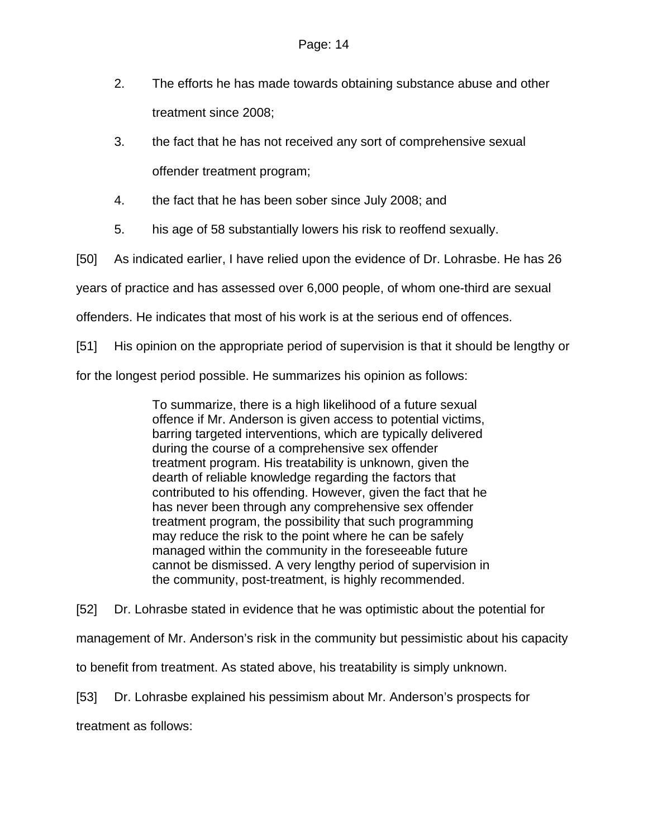- 2. The efforts he has made towards obtaining substance abuse and other treatment since 2008;
- 3. the fact that he has not received any sort of comprehensive sexual offender treatment program;
- 4. the fact that he has been sober since July 2008; and
- 5. his age of 58 substantially lowers his risk to reoffend sexually.

[50] As indicated earlier, I have relied upon the evidence of Dr. Lohrasbe. He has 26

years of practice and has assessed over 6,000 people, of whom one-third are sexual

offenders. He indicates that most of his work is at the serious end of offences.

[51] His opinion on the appropriate period of supervision is that it should be lengthy or

for the longest period possible. He summarizes his opinion as follows:

To summarize, there is a high likelihood of a future sexual offence if Mr. Anderson is given access to potential victims, barring targeted interventions, which are typically delivered during the course of a comprehensive sex offender treatment program. His treatability is unknown, given the dearth of reliable knowledge regarding the factors that contributed to his offending. However, given the fact that he has never been through any comprehensive sex offender treatment program, the possibility that such programming may reduce the risk to the point where he can be safely managed within the community in the foreseeable future cannot be dismissed. A very lengthy period of supervision in the community, post-treatment, is highly recommended.

[52] Dr. Lohrasbe stated in evidence that he was optimistic about the potential for management of Mr. Anderson's risk in the community but pessimistic about his capacity to benefit from treatment. As stated above, his treatability is simply unknown. [53] Dr. Lohrasbe explained his pessimism about Mr. Anderson's prospects for

treatment as follows: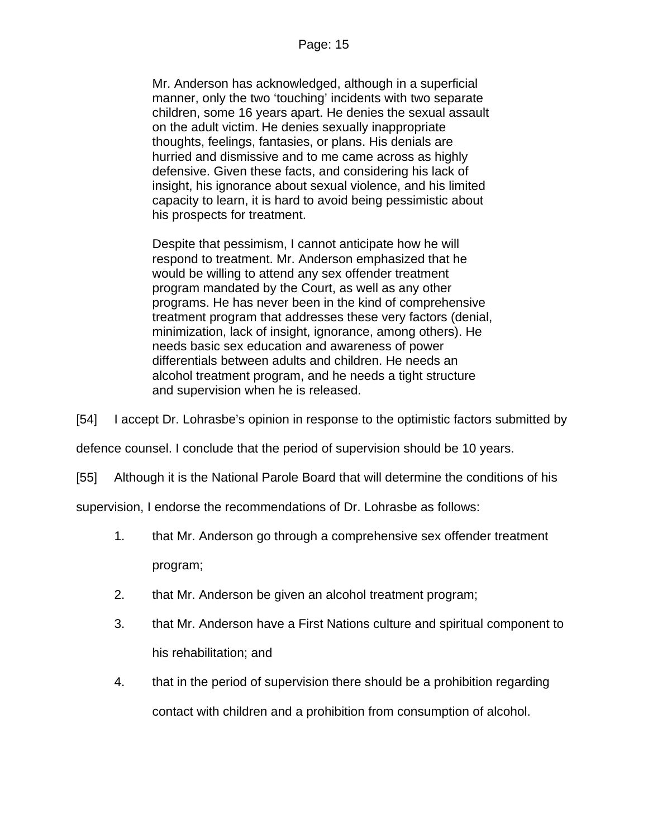Mr. Anderson has acknowledged, although in a superficial manner, only the two 'touching' incidents with two separate children, some 16 years apart. He denies the sexual assault on the adult victim. He denies sexually inappropriate thoughts, feelings, fantasies, or plans. His denials are hurried and dismissive and to me came across as highly defensive. Given these facts, and considering his lack of insight, his ignorance about sexual violence, and his limited capacity to learn, it is hard to avoid being pessimistic about his prospects for treatment.

Despite that pessimism, I cannot anticipate how he will respond to treatment. Mr. Anderson emphasized that he would be willing to attend any sex offender treatment program mandated by the Court, as well as any other programs. He has never been in the kind of comprehensive treatment program that addresses these very factors (denial, minimization, lack of insight, ignorance, among others). He needs basic sex education and awareness of power differentials between adults and children. He needs an alcohol treatment program, and he needs a tight structure and supervision when he is released.

[54] I accept Dr. Lohrasbe's opinion in response to the optimistic factors submitted by

defence counsel. I conclude that the period of supervision should be 10 years.

[55] Although it is the National Parole Board that will determine the conditions of his

supervision, I endorse the recommendations of Dr. Lohrasbe as follows:

- 1. that Mr. Anderson go through a comprehensive sex offender treatment program;
- 2. that Mr. Anderson be given an alcohol treatment program;
- 3. that Mr. Anderson have a First Nations culture and spiritual component to his rehabilitation; and
- 4. that in the period of supervision there should be a prohibition regarding contact with children and a prohibition from consumption of alcohol.